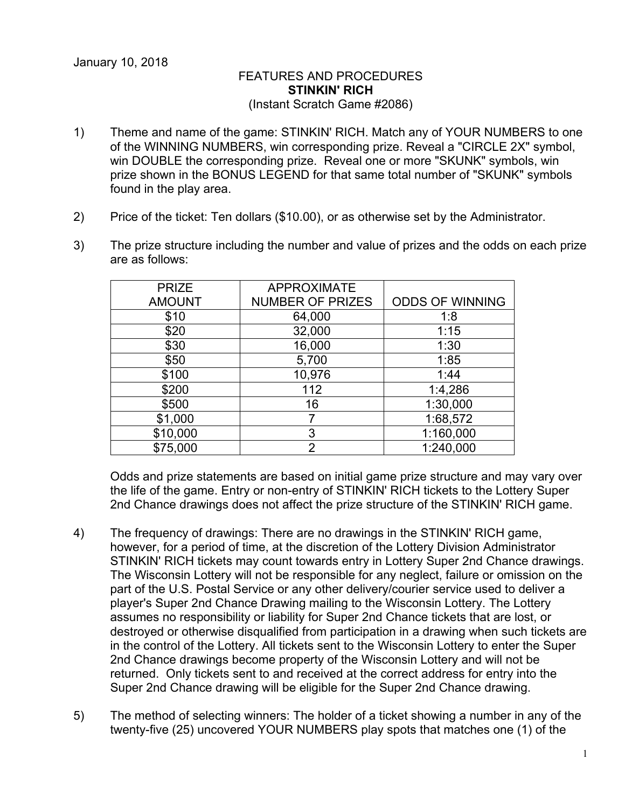## FEATURES AND PROCEDURES **STINKIN' RICH** (Instant Scratch Game #2086)

- 1) Theme and name of the game: STINKIN' RICH. Match any of YOUR NUMBERS to one of the WINNING NUMBERS, win corresponding prize. Reveal a "CIRCLE 2X" symbol, win DOUBLE the corresponding prize. Reveal one or more "SKUNK" symbols, win prize shown in the BONUS LEGEND for that same total number of "SKUNK" symbols found in the play area.
- 2) Price of the ticket: Ten dollars (\$10.00), or as otherwise set by the Administrator.
- 3) The prize structure including the number and value of prizes and the odds on each prize are as follows:

| <b>APPROXIMATE</b>      |                        |
|-------------------------|------------------------|
| <b>NUMBER OF PRIZES</b> | <b>ODDS OF WINNING</b> |
| 64,000                  | 1:8                    |
| 32,000                  | 1:15                   |
| 16,000                  | 1:30                   |
| 5,700                   | 1:85                   |
| 10,976                  | 1:44                   |
| 112                     | 1:4,286                |
| 16                      | 1:30,000               |
|                         | 1:68,572               |
| 3                       | 1:160,000              |
| $\mathfrak{p}$          | 1:240,000              |
|                         |                        |

Odds and prize statements are based on initial game prize structure and may vary over the life of the game. Entry or non-entry of STINKIN' RICH tickets to the Lottery Super 2nd Chance drawings does not affect the prize structure of the STINKIN' RICH game.

- 4) The frequency of drawings: There are no drawings in the STINKIN' RICH game, however, for a period of time, at the discretion of the Lottery Division Administrator STINKIN' RICH tickets may count towards entry in Lottery Super 2nd Chance drawings. The Wisconsin Lottery will not be responsible for any neglect, failure or omission on the part of the U.S. Postal Service or any other delivery/courier service used to deliver a player's Super 2nd Chance Drawing mailing to the Wisconsin Lottery. The Lottery assumes no responsibility or liability for Super 2nd Chance tickets that are lost, or destroyed or otherwise disqualified from participation in a drawing when such tickets are in the control of the Lottery. All tickets sent to the Wisconsin Lottery to enter the Super 2nd Chance drawings become property of the Wisconsin Lottery and will not be returned. Only tickets sent to and received at the correct address for entry into the Super 2nd Chance drawing will be eligible for the Super 2nd Chance drawing.
- 5) The method of selecting winners: The holder of a ticket showing a number in any of the twenty-five (25) uncovered YOUR NUMBERS play spots that matches one (1) of the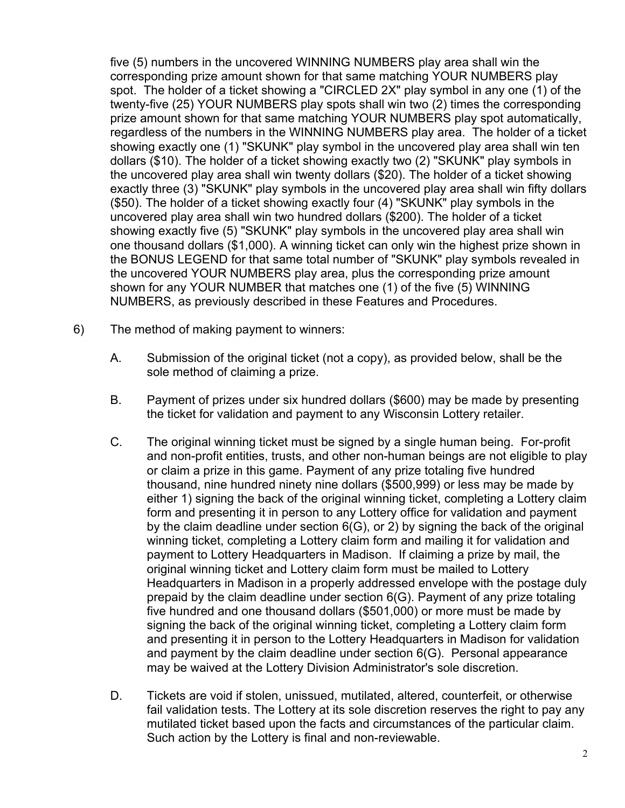five (5) numbers in the uncovered WINNING NUMBERS play area shall win the corresponding prize amount shown for that same matching YOUR NUMBERS play spot. The holder of a ticket showing a "CIRCLED 2X" play symbol in any one (1) of the twenty-five (25) YOUR NUMBERS play spots shall win two (2) times the corresponding prize amount shown for that same matching YOUR NUMBERS play spot automatically, regardless of the numbers in the WINNING NUMBERS play area. The holder of a ticket showing exactly one (1) "SKUNK" play symbol in the uncovered play area shall win ten dollars (\$10). The holder of a ticket showing exactly two (2) "SKUNK" play symbols in the uncovered play area shall win twenty dollars (\$20). The holder of a ticket showing exactly three (3) "SKUNK" play symbols in the uncovered play area shall win fifty dollars (\$50). The holder of a ticket showing exactly four (4) "SKUNK" play symbols in the uncovered play area shall win two hundred dollars (\$200). The holder of a ticket showing exactly five (5) "SKUNK" play symbols in the uncovered play area shall win one thousand dollars (\$1,000). A winning ticket can only win the highest prize shown in the BONUS LEGEND for that same total number of "SKUNK" play symbols revealed in the uncovered YOUR NUMBERS play area, plus the corresponding prize amount shown for any YOUR NUMBER that matches one (1) of the five (5) WINNING NUMBERS, as previously described in these Features and Procedures.

- 6) The method of making payment to winners:
	- A. Submission of the original ticket (not a copy), as provided below, shall be the sole method of claiming a prize.
	- B. Payment of prizes under six hundred dollars (\$600) may be made by presenting the ticket for validation and payment to any Wisconsin Lottery retailer.
	- C. The original winning ticket must be signed by a single human being. For-profit and non-profit entities, trusts, and other non-human beings are not eligible to play or claim a prize in this game. Payment of any prize totaling five hundred thousand, nine hundred ninety nine dollars (\$500,999) or less may be made by either 1) signing the back of the original winning ticket, completing a Lottery claim form and presenting it in person to any Lottery office for validation and payment by the claim deadline under section 6(G), or 2) by signing the back of the original winning ticket, completing a Lottery claim form and mailing it for validation and payment to Lottery Headquarters in Madison. If claiming a prize by mail, the original winning ticket and Lottery claim form must be mailed to Lottery Headquarters in Madison in a properly addressed envelope with the postage duly prepaid by the claim deadline under section 6(G). Payment of any prize totaling five hundred and one thousand dollars (\$501,000) or more must be made by signing the back of the original winning ticket, completing a Lottery claim form and presenting it in person to the Lottery Headquarters in Madison for validation and payment by the claim deadline under section 6(G). Personal appearance may be waived at the Lottery Division Administrator's sole discretion.
	- D. Tickets are void if stolen, unissued, mutilated, altered, counterfeit, or otherwise fail validation tests. The Lottery at its sole discretion reserves the right to pay any mutilated ticket based upon the facts and circumstances of the particular claim. Such action by the Lottery is final and non-reviewable.